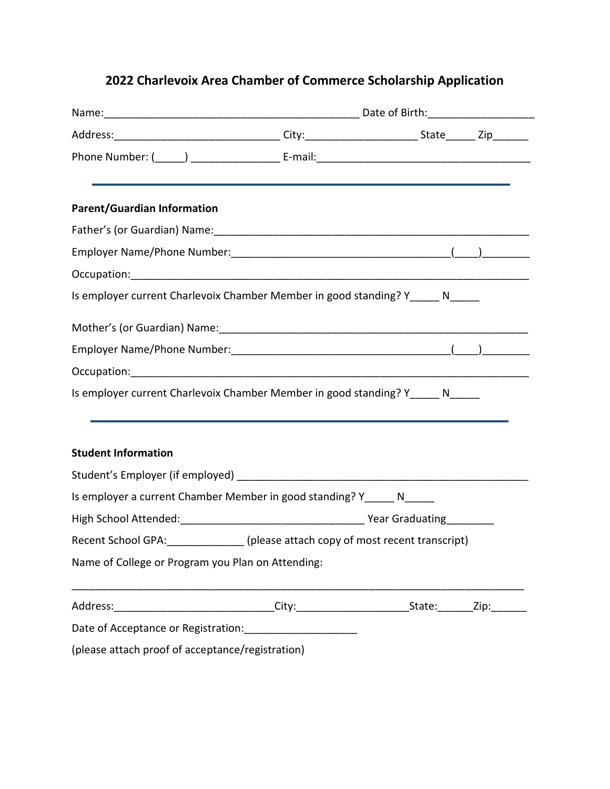## **2022 Charlevoix Area Chamber of Commerce Scholarship Application**

|                                                   |                                                                                                     | Name: 1990 Mame: 2008 Mame: 2008 Mame: 2008 Mame: 2008 Mame: 2008 Mame: 2008 Mame: 2008 Mame: 2008 Mamma Mame: 2008 Mamma Mamma Mamma Mamma Mamma Mamma Mamma Mamma Mamma Mamma Mamma Mamma Mamma Mamma Mamma Mamma Mamma Mamm |  |  |
|---------------------------------------------------|-----------------------------------------------------------------------------------------------------|--------------------------------------------------------------------------------------------------------------------------------------------------------------------------------------------------------------------------------|--|--|
|                                                   | Address:__________________________________City:___________________________State________Zip_________ |                                                                                                                                                                                                                                |  |  |
|                                                   |                                                                                                     |                                                                                                                                                                                                                                |  |  |
| <b>Parent/Guardian Information</b>                |                                                                                                     |                                                                                                                                                                                                                                |  |  |
|                                                   |                                                                                                     |                                                                                                                                                                                                                                |  |  |
|                                                   |                                                                                                     |                                                                                                                                                                                                                                |  |  |
|                                                   |                                                                                                     |                                                                                                                                                                                                                                |  |  |
|                                                   | Is employer current Charlevoix Chamber Member in good standing? Y_____ N_____                       |                                                                                                                                                                                                                                |  |  |
|                                                   |                                                                                                     |                                                                                                                                                                                                                                |  |  |
|                                                   |                                                                                                     |                                                                                                                                                                                                                                |  |  |
|                                                   |                                                                                                     |                                                                                                                                                                                                                                |  |  |
|                                                   | Is employer current Charlevoix Chamber Member in good standing? Y______ N_____                      |                                                                                                                                                                                                                                |  |  |
| <b>Student Information</b>                        |                                                                                                     |                                                                                                                                                                                                                                |  |  |
|                                                   |                                                                                                     |                                                                                                                                                                                                                                |  |  |
|                                                   | Is employer a current Chamber Member in good standing? Y______ N_____                               |                                                                                                                                                                                                                                |  |  |
|                                                   |                                                                                                     |                                                                                                                                                                                                                                |  |  |
|                                                   | Recent School GPA: _______________(please attach copy of most recent transcript)                    |                                                                                                                                                                                                                                |  |  |
| Name of College or Program you Plan on Attending: |                                                                                                     |                                                                                                                                                                                                                                |  |  |
|                                                   | Address:________________________________City:___________________________State:________Zip:_________ |                                                                                                                                                                                                                                |  |  |
|                                                   | Date of Acceptance or Registration: _____________________                                           |                                                                                                                                                                                                                                |  |  |
| (please attach proof of acceptance/registration)  |                                                                                                     |                                                                                                                                                                                                                                |  |  |